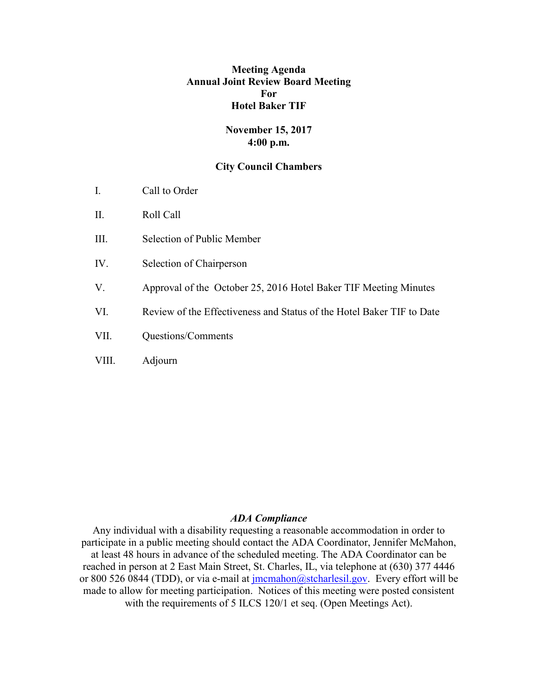## **Meeting Agenda Annual Joint Review Board Meeting For Hotel Baker TIF**

## **November 15, 2017 4:00 p.m.**

### **City Council Chambers**

- I. Call to Order
- II. Roll Call
- III. Selection of Public Member
- IV. Selection of Chairperson
- V. Approval of the October 25, 2016 Hotel Baker TIF Meeting Minutes
- VI. Review of the Effectiveness and Status of the Hotel Baker TIF to Date
- VII. Questions/Comments
- VIII. Adjourn

#### *ADA Compliance*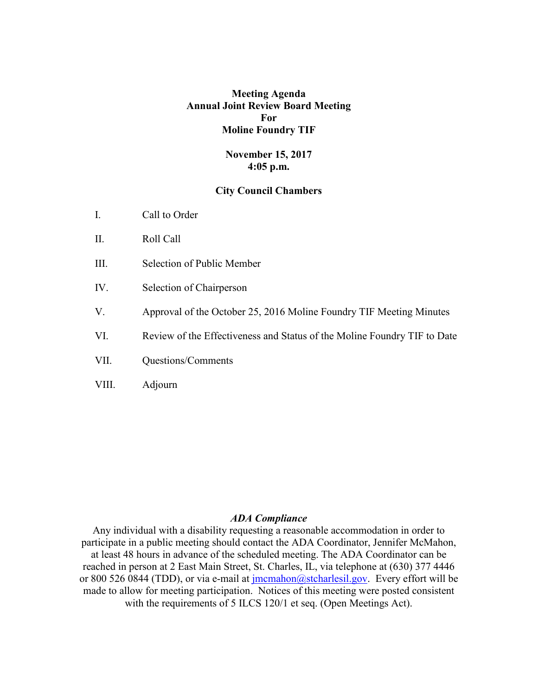### **Meeting Agenda Annual Joint Review Board Meeting For Moline Foundry TIF**

### **November 15, 2017 4:05 p.m.**

### **City Council Chambers**

- I. Call to Order
- II. Roll Call
- III. Selection of Public Member
- IV. Selection of Chairperson
- V. Approval of the October 25, 2016 Moline Foundry TIF Meeting Minutes
- VI. Review of the Effectiveness and Status of the Moline Foundry TIF to Date
- VII. Questions/Comments
- VIII. Adjourn

### *ADA Compliance*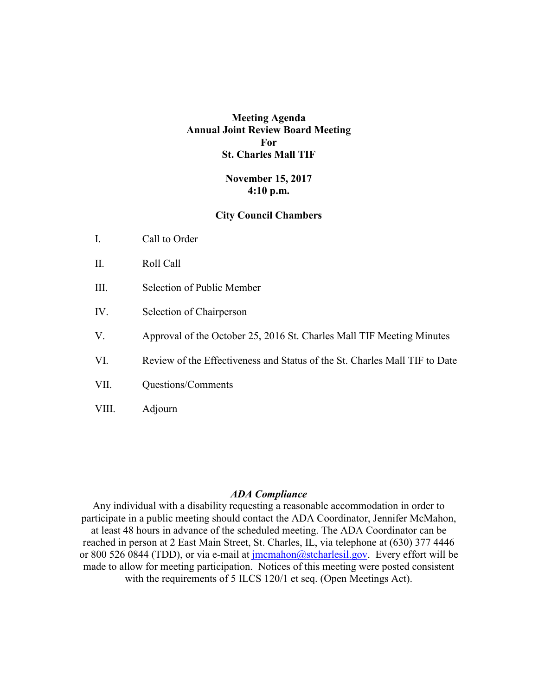# **Meeting Agenda Annual Joint Review Board Meeting For St. Charles Mall TIF**

## **November 15, 2017 4:10 p.m.**

### **City Council Chambers**

- II. Roll Call
- III. Selection of Public Member
- IV. Selection of Chairperson
- V. Approval of the October 25, 2016 St. Charles Mall TIF Meeting Minutes
- VI. Review of the Effectiveness and Status of the St. Charles Mall TIF to Date
- VII. Questions/Comments
- VIII. Adjourn

#### *ADA Compliance*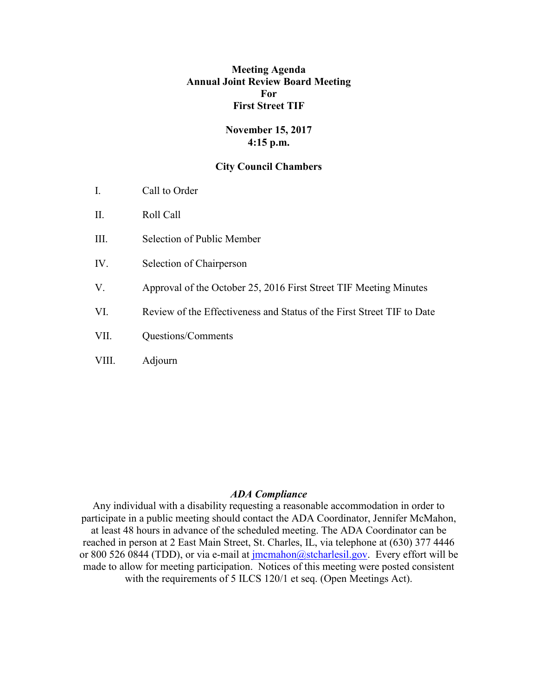## **Meeting Agenda Annual Joint Review Board Meeting For First Street TIF**

## **November 15, 2017 4:15 p.m.**

### **City Council Chambers**

- I. Call to Order
- II. Roll Call
- III. Selection of Public Member
- IV. Selection of Chairperson
- V. Approval of the October 25, 2016 First Street TIF Meeting Minutes
- VI. Review of the Effectiveness and Status of the First Street TIF to Date
- VII. Questions/Comments
- VIII. Adjourn

#### *ADA Compliance*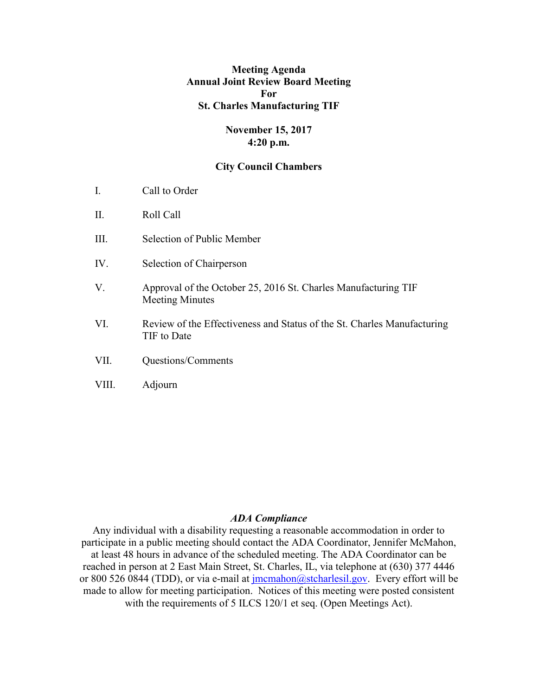## **Meeting Agenda Annual Joint Review Board Meeting For St. Charles Manufacturing TIF**

## **November 15, 2017 4:20 p.m.**

### **City Council Chambers**

- I. Call to Order
- II. Roll Call
- III. Selection of Public Member
- IV. Selection of Chairperson
- V. Approval of the October 25, 2016 St. Charles Manufacturing TIF Meeting Minutes
- VI. Review of the Effectiveness and Status of the St. Charles Manufacturing TIF to Date
- VII. Questions/Comments
- VIII. Adjourn

### *ADA Compliance*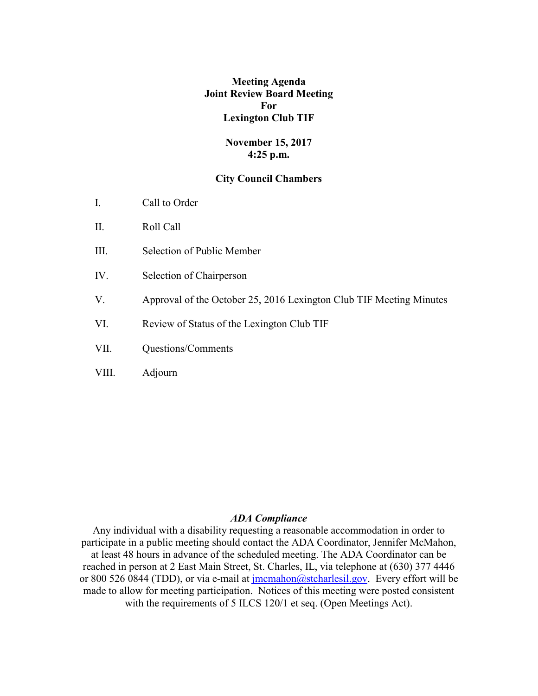## **Meeting Agenda Joint Review Board Meeting For Lexington Club TIF**

## **November 15, 2017 4:25 p.m.**

### **City Council Chambers**

- I. Call to Order
- II. Roll Call
- III. Selection of Public Member
- IV. Selection of Chairperson
- V. Approval of the October 25, 2016 Lexington Club TIF Meeting Minutes
- VI. Review of Status of the Lexington Club TIF
- VII. Questions/Comments
- VIII. Adjourn

## *ADA Compliance*